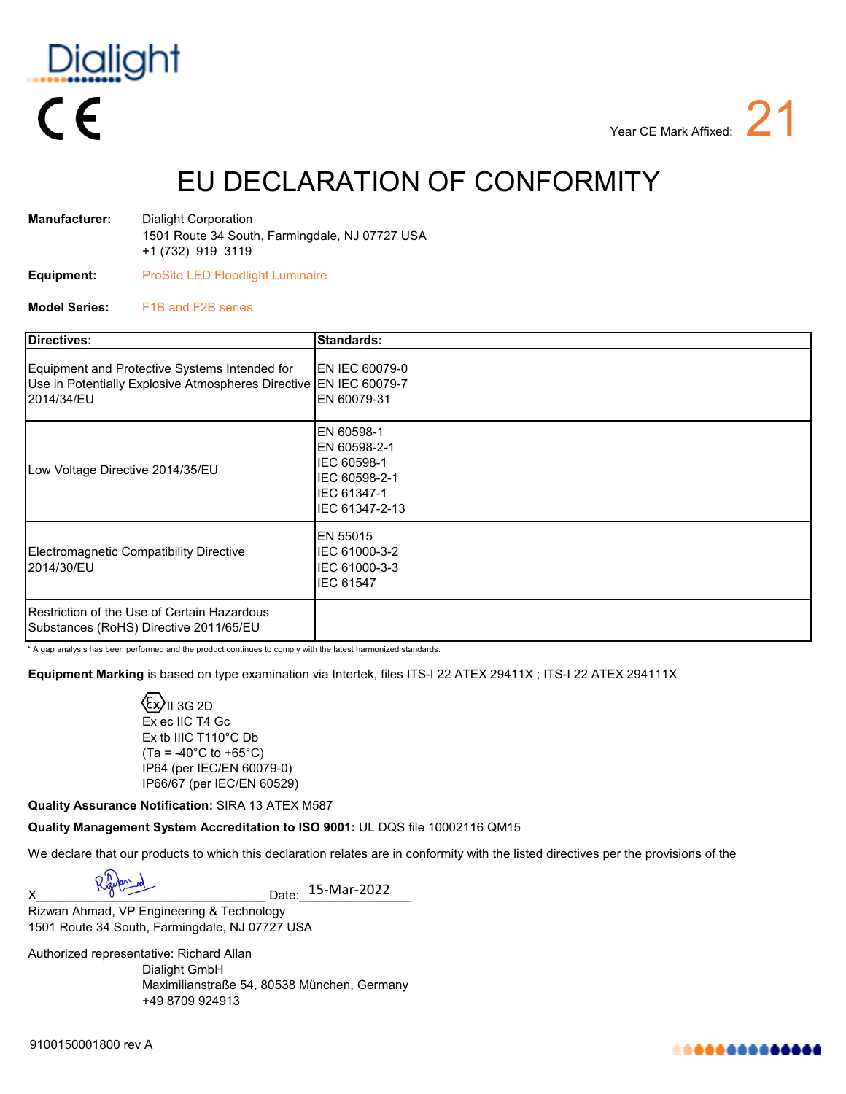

EU DECLARATION OF CONFORMITY

| Manufacturer: | Dialight Corporation                                                |
|---------------|---------------------------------------------------------------------|
|               | 1501 Route 34 South, Farmingdale, NJ 07727 USA<br>+1 (732) 919 3119 |
|               |                                                                     |

**Equipment:** ProSite LED Floodlight Luminaire

**Model Series:** F1B and F2B series

| <b>Directives:</b>                                                                                                               | <b>Standards:</b>                                                                           |
|----------------------------------------------------------------------------------------------------------------------------------|---------------------------------------------------------------------------------------------|
| Equipment and Protective Systems Intended for<br>Use in Potentially Explosive Atmospheres Directive EN IEC 60079-7<br>2014/34/EU | EN IEC 60079-0<br>EN 60079-31                                                               |
| Low Voltage Directive 2014/35/EU                                                                                                 | EN 60598-1<br>EN 60598-2-1<br>IEC 60598-1<br>IEC 60598-2-1<br>IEC 61347-1<br>IEC 61347-2-13 |
| Electromagnetic Compatibility Directive<br>2014/30/EU                                                                            | EN 55015<br>IEC 61000-3-2<br>IEC 61000-3-3<br>IEC 61547                                     |
| <b>I</b> Restriction of the Use of Certain Hazardous<br>Substances (RoHS) Directive 2011/65/EU                                   |                                                                                             |

\* A gap analysis has been performed and the product continues to comply with the latest harmonized standards.

**Equipment Marking** is based on type examination via Intertek, files ITS-I 22 ATEX 29411X ; ITS-I 22 ATEX 294111X

 $\mathcal{E}$ X $\mathcal{V}$ II 3G 2D Ex ec IIC T4 Gc Ex tb IIIC T110°C Db  $(Ta = -40^{\circ}C \text{ to } +65^{\circ}C)$ IP64 (per IEC/EN 60079-0) IP66/67 (per IEC/EN 60529)

**Quality Assurance Notification:** SIRA 13 ATEX M587

**Quality Management System Accreditation to ISO 9001:** UL DQS file 10002116 QM15

We declare that our products to which this declaration relates are in conformity with the listed directives per the provisions of the

 $X$  Napt  $\overline{X}$  Date: 15-Mar-2022

1501 Route 34 South, Farmingdale, NJ 07727 USA Rizwan Ahmad, VP Engineering & Technology

Authorized representative: Richard Allan Dialight GmbH Maximilianstraße 54, 80538 München, Germany +49 8709 924913

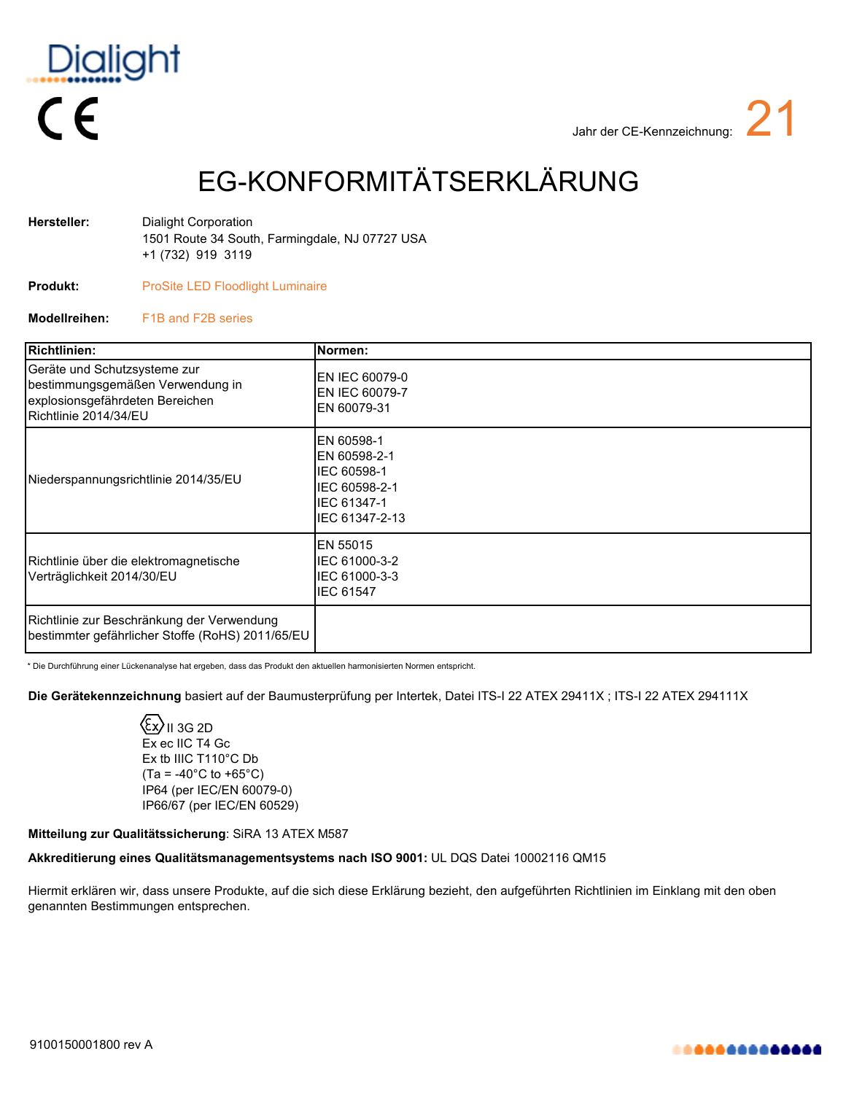

## EG-KONFORMITÄTSERKLÄRUNG

| Hersteller: | Dialight Corporation                           |
|-------------|------------------------------------------------|
|             | 1501 Route 34 South, Farmingdale, NJ 07727 USA |
|             | +1 (732) 919 3119                              |

- **Produkt:** ProSite LED Floodlight Luminaire
- **Modellreihen:** F1B and F2B series

| Richtlinien:                                                                                                                 | Normen:                                                                                     |
|------------------------------------------------------------------------------------------------------------------------------|---------------------------------------------------------------------------------------------|
| Geräte und Schutzsysteme zur<br>bestimmungsgemäßen Verwendung in<br>explosionsgefährdeten Bereichen<br>Richtlinie 2014/34/EU | EN IEC 60079-0<br>EN IEC 60079-7<br>EN 60079-31                                             |
| Niederspannungsrichtlinie 2014/35/EU                                                                                         | EN 60598-1<br>EN 60598-2-1<br>IEC 60598-1<br>IEC 60598-2-1<br>IEC 61347-1<br>IEC 61347-2-13 |
| Richtlinie über die elektromagnetische<br>Verträglichkeit 2014/30/EU                                                         | EN 55015<br>IEC 61000-3-2<br>IEC 61000-3-3<br><b>IEC 61547</b>                              |
| Richtlinie zur Beschränkung der Verwendung<br>bestimmter gefährlicher Stoffe (RoHS) 2011/65/EU                               |                                                                                             |

\* Die Durchführung einer Lückenanalyse hat ergeben, dass das Produkt den aktuellen harmonisierten Normen entspricht.

**Die Gerätekennzeichnung** basiert auf der Baumusterprüfung per Intertek, Datei ITS-I 22 ATEX 29411X ; ITS-I 22 ATEX 294111X

 $\langle \Sigma \rangle$ II 3G 2D Ex ec IIC T4 Gc Ex tb IIIC T110°C Db  $(Ta = -40^{\circ}C to +65^{\circ}C)$ IP64 (per IEC/EN 60079-0) IP66/67 (per IEC/EN 60529)

### **Mitteilung zur Qualitätssicherung**: SiRA 13 ATEX M587

## **Akkreditierung eines Qualitätsmanagementsystems nach ISO 9001:** UL DQS Datei 10002116 QM15

Hiermit erklären wir, dass unsere Produkte, auf die sich diese Erklärung bezieht, den aufgeführten Richtlinien im Einklang mit den oben genannten Bestimmungen entsprechen.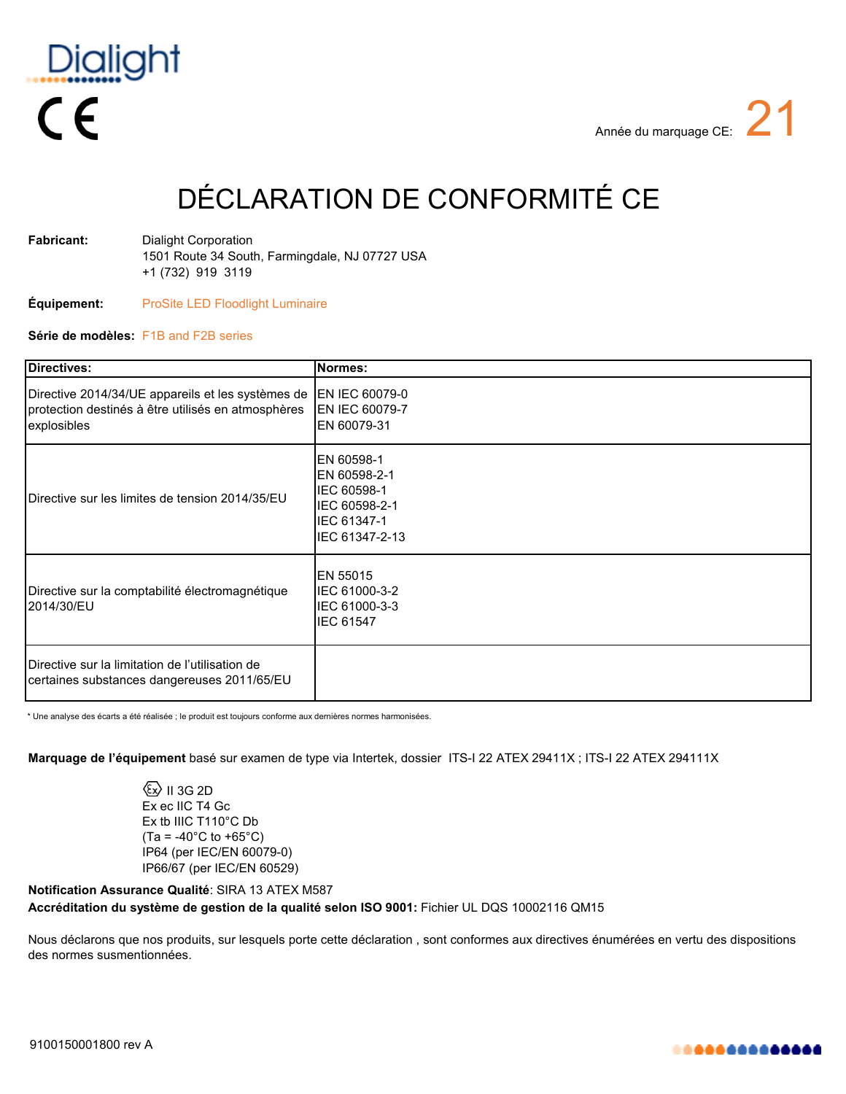

# DÉCLARATION DE CONFORMITÉ CE

| Fabricant: | Dialight Corporation                           |
|------------|------------------------------------------------|
|            | 1501 Route 34 South, Farmingdale, NJ 07727 USA |
|            | +1 (732) 919 3119                              |

### **Équipement:** ProSite LED Floodlight Luminaire

### **Série de modèles:** F1B and F2B series

| Directives:                                                                                                            | Normes:                                                                                     |
|------------------------------------------------------------------------------------------------------------------------|---------------------------------------------------------------------------------------------|
| Directive 2014/34/UE appareils et les systèmes de<br>protection destinés à être utilisés en atmosphères<br>explosibles | EN IEC 60079-0<br>EN IEC 60079-7<br>EN 60079-31                                             |
| Directive sur les limites de tension 2014/35/EU                                                                        | EN 60598-1<br>EN 60598-2-1<br>IEC 60598-1<br>IEC 60598-2-1<br>IEC 61347-1<br>IEC 61347-2-13 |
| Directive sur la comptabilité électromagnétique<br>2014/30/EU                                                          | EN 55015<br>IEC 61000-3-2<br>IEC 61000-3-3<br><b>IEC 61547</b>                              |
| <b>I</b> Directive sur la limitation de l'utilisation de<br>certaines substances dangereuses 2011/65/EU                |                                                                                             |

\* Une analyse des écarts a été réalisée ; le produit est toujours conforme aux dernières normes harmonisées.

**Marquage de l'équipement** basé sur examen de type via Intertek, dossier ITS-I 22 ATEX 29411X ; ITS-I 22 ATEX 294111X

 $\langle \overline{\mathbb{S}} \rangle$  II 3G 2D Ex ec IIC T4 Gc Ex tb IIIC T110°C Db  $(Ta = -40^{\circ}C \text{ to } +65^{\circ}C)$ IP64 (per IEC/EN 60079-0) IP66/67 (per IEC/EN 60529)

**Notification Assurance Qualité**: SIRA 13 ATEX M587 **Accréditation du système de gestion de la qualité selon ISO 9001:** Fichier UL DQS 10002116 QM15

Nous déclarons que nos produits, sur lesquels porte cette déclaration , sont conformes aux directives énumérées en vertu des dispositions des normes susmentionnées.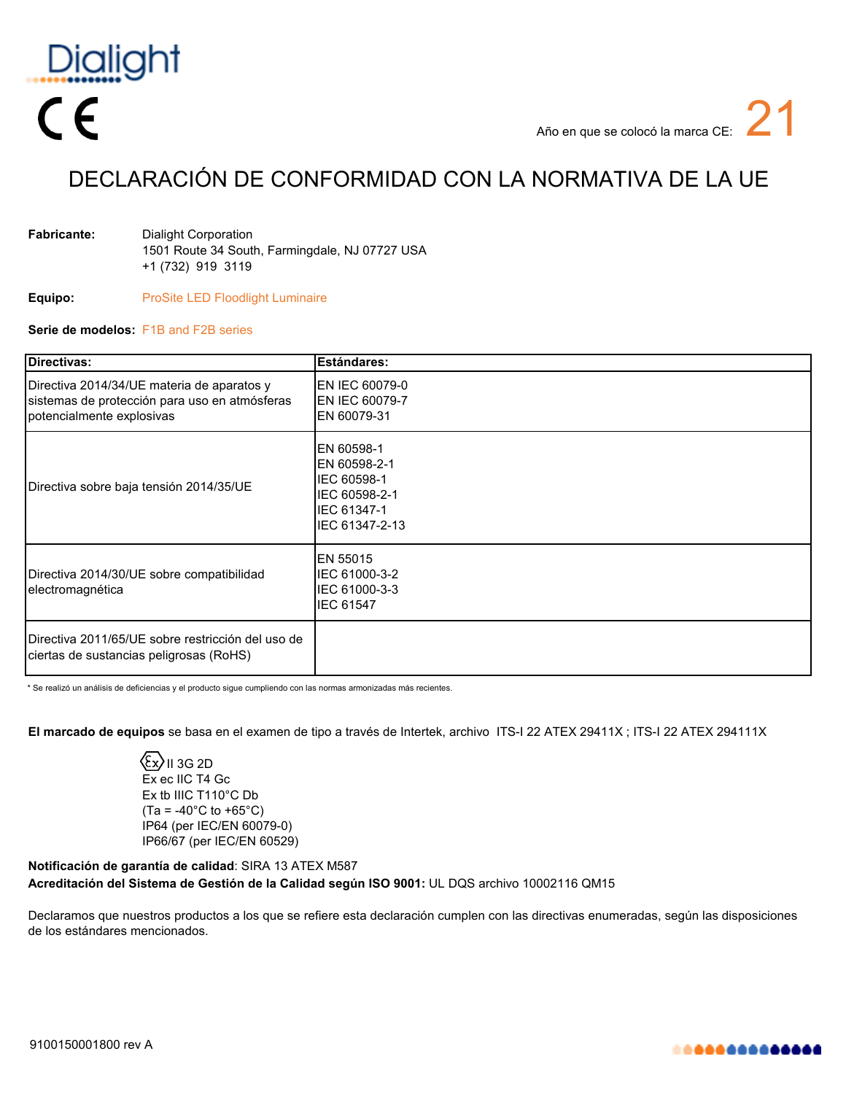

## DECLARACIÓN DE CONFORMIDAD CON LA NORMATIVA DE LA UE

| <b>Fabricante:</b> | Dialight Corporation                           |
|--------------------|------------------------------------------------|
|                    | 1501 Route 34 South, Farmingdale, NJ 07727 USA |
|                    | +1 (732) 919 3119                              |

**Equipo:** ProSite LED Floodlight Luminaire

### **Serie de modelos:** F1B and F2B series

| Directivas:                                                                                                              | <b>Estándares:</b>                                                                          |
|--------------------------------------------------------------------------------------------------------------------------|---------------------------------------------------------------------------------------------|
| Directiva 2014/34/UE materia de aparatos y<br>sistemas de protección para uso en atmósferas<br>potencialmente explosivas | EN IEC 60079-0<br>EN IEC 60079-7<br>EN 60079-31                                             |
| Directiva sobre baja tensión 2014/35/UE                                                                                  | EN 60598-1<br>EN 60598-2-1<br>IEC 60598-1<br>IEC 60598-2-1<br>IEC 61347-1<br>IEC 61347-2-13 |
| Directiva 2014/30/UE sobre compatibilidad<br>electromagnética                                                            | EN 55015<br>IEC 61000-3-2<br>IEC 61000-3-3<br><b>IEC 61547</b>                              |
| Directiva 2011/65/UE sobre restricción del uso de<br>ciertas de sustancias peligrosas (RoHS)                             |                                                                                             |

\* Se realizó un análisis de deficiencias y el producto sigue cumpliendo con las normas armonizadas más recientes.

**El marcado de equipos** se basa en el examen de tipo a través de Intertek, archivo ITS-I 22 ATEX 29411X ; ITS-I 22 ATEX 294111X

 $\langle \xi$ x $\rangle$ II 3G 2D Ex ec IIC T4 Gc Ex tb IIIC T110°C Db  $(Ta = -40^{\circ}C$  to  $+65^{\circ}C)$ IP64 (per IEC/EN 60079-0) IP66/67 (per IEC/EN 60529)

**Notificación de garantía de calidad**: SIRA 13 ATEX M587 **Acreditación del Sistema de Gestión de la Calidad según ISO 9001:** UL DQS archivo 10002116 QM15

Declaramos que nuestros productos a los que se refiere esta declaración cumplen con las directivas enumeradas, según las disposiciones de los estándares mencionados.